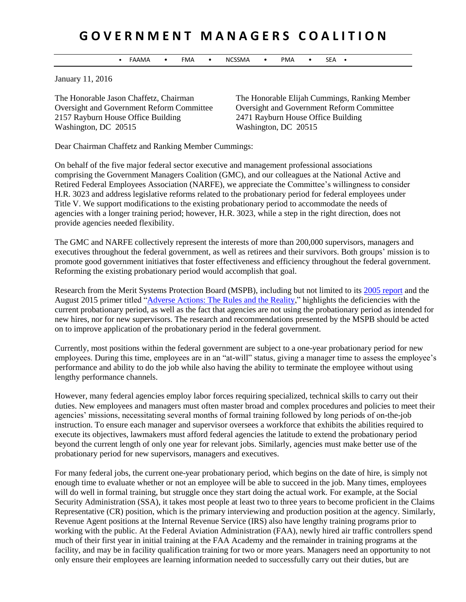## **G O V E R N M E N T M A N A G E R S C O A L I T I O N**

• FAAMA • FMA • NCSSMA • PMA • SEA •

January 11, 2016

2157 Rayburn House Office Building 2471 Rayburn House Office Building Washington, DC 20515 Washington, DC 20515

The Honorable Jason Chaffetz, Chairman The Honorable Elijah Cummings, Ranking Member Oversight and Government Reform Committee Oversight and Government Reform Committee

Dear Chairman Chaffetz and Ranking Member Cummings:

On behalf of the five major federal sector executive and management professional associations comprising the Government Managers Coalition (GMC), and our colleagues at the National Active and Retired Federal Employees Association (NARFE), we appreciate the Committee's willingness to consider H.R. 3023 and address legislative reforms related to the probationary period for federal employees under Title V. We support modifications to the existing probationary period to accommodate the needs of agencies with a longer training period; however, H.R. 3023, while a step in the right direction, does not provide agencies needed flexibility.

The GMC and NARFE collectively represent the interests of more than 200,000 supervisors, managers and executives throughout the federal government, as well as retirees and their survivors. Both groups' mission is to promote good government initiatives that foster effectiveness and efficiency throughout the federal government. Reforming the existing probationary period would accomplish that goal.

Research from the Merit Systems Protection Board (MSPB), including but not limited to its [2005 report](http://www.mspb.gov/netsearch/viewdocs.aspx?docnumber=224555&version=224774) and the August 2015 primer titled ["Adverse Actions: The Rules and the Reality,](http://www.mspb.gov/netsearch/viewdocs.aspx?docnumber=1205509&version=1210224&application=ACROBAT)" highlights the deficiencies with the current probationary period, as well as the fact that agencies are not using the probationary period as intended for new hires, nor for new supervisors. The research and recommendations presented by the MSPB should be acted on to improve application of the probationary period in the federal government.

Currently, most positions within the federal government are subject to a one-year probationary period for new employees. During this time, employees are in an "at-will" status, giving a manager time to assess the employee's performance and ability to do the job while also having the ability to terminate the employee without using lengthy performance channels.

However, many federal agencies employ labor forces requiring specialized, technical skills to carry out their duties. New employees and managers must often master broad and complex procedures and policies to meet their agencies' missions, necessitating several months of formal training followed by long periods of on-the-job instruction. To ensure each manager and supervisor oversees a workforce that exhibits the abilities required to execute its objectives, lawmakers must afford federal agencies the latitude to extend the probationary period beyond the current length of only one year for relevant jobs. Similarly, agencies must make better use of the probationary period for new supervisors, managers and executives.

For many federal jobs, the current one-year probationary period, which begins on the date of hire, is simply not enough time to evaluate whether or not an employee will be able to succeed in the job. Many times, employees will do well in formal training, but struggle once they start doing the actual work. For example, at the Social Security Administration (SSA), it takes most people at least two to three years to become proficient in the Claims Representative (CR) position, which is the primary interviewing and production position at the agency. Similarly, Revenue Agent positions at the Internal Revenue Service (IRS) also have lengthy training programs prior to working with the public. At the Federal Aviation Administration (FAA), newly hired air traffic controllers spend much of their first year in initial training at the FAA Academy and the remainder in training programs at the facility, and may be in facility qualification training for two or more years. Managers need an opportunity to not only ensure their employees are learning information needed to successfully carry out their duties, but are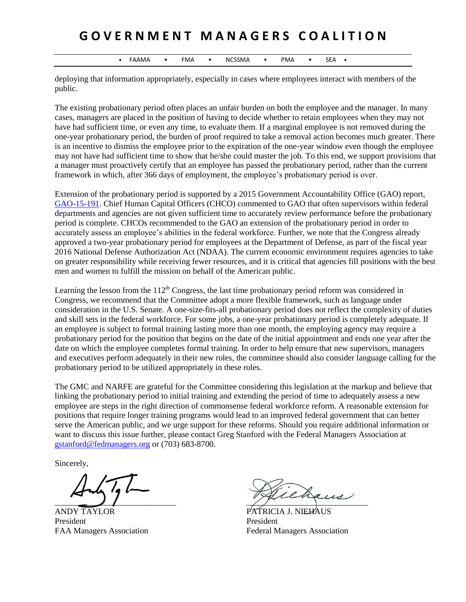## **G O V E R N M E N T M A N A G E R S C O A L I T I O N**

• FAAMA • FMA • NCSSMA • PMA • SEA •

deploying that information appropriately, especially in cases where employees interact with members of the public.

The existing probationary period often places an unfair burden on both the employee and the manager. In many cases, managers are placed in the position of having to decide whether to retain employees when they may not have had sufficient time, or even any time, to evaluate them. If a marginal employee is not removed during the one-year probationary period, the burden of proof required to take a removal action becomes much greater. There is an incentive to dismiss the employee prior to the expiration of the one-year window even though the employee may not have had sufficient time to show that he/she could master the job. To this end, we support provisions that a manager must proactively certify that an employee has passed the probationary period, rather than the current framework in which, after 366 days of employment, the employee's probationary period is over.

Extension of the probationary period is supported by a 2015 Government Accountability Office (GAO) report, [GAO-15-191.](http://www.gao.gov/products/GAO-15-191) Chief Human Capital Officers (CHCO) commented to GAO that often supervisors within federal departments and agencies are not given sufficient time to accurately review performance before the probationary period is complete. CHCOs recommended to the GAO an extension of the probationary period in order to accurately assess an employee's abilities in the federal workforce. Further, we note that the Congress already approved a two-year probationary period for employees at the Department of Defense, as part of the fiscal year 2016 National Defense Authorization Act (NDAA). The current economic environment requires agencies to take on greater responsibility while receiving fewer resources, and it is critical that agencies fill positions with the best men and women to fulfill the mission on behalf of the American public.

Learning the lesson from the  $112<sup>th</sup>$  Congress, the last time probationary period reform was considered in Congress, we recommend that the Committee adopt a more flexible framework, such as language under consideration in the U.S. Senate. A one-size-fits-all probationary period does not reflect the complexity of duties and skill sets in the federal workforce. For some jobs, a one-year probationary period is completely adequate. If an employee is subject to formal training lasting more than one month, the employing agency may require a probationary period for the position that begins on the date of the initial appointment and ends one year after the date on which the employee completes formal training. In order to help ensure that new supervisors, managers and executives perform adequately in their new roles, the committee should also consider language calling for the probationary period to be utilized appropriately in these roles.

The GMC and NARFE are grateful for the Committee considering this legislation at the markup and believe that linking the probationary period to initial training and extending the period of time to adequately assess a new employee are steps in the right direction of commonsense federal workforce reform. A reasonable extension for positions that require longer training programs would lead to an improved federal government that can better serve the American public, and we urge support for these reforms. Should you require additional information or want to discuss this issue further, please contact Greg Stanford with the Federal Managers Association at [gstanford@fedmanagers.org](mailto:gstanford@fedmanagers.org) or (703) 683-8700.

Sincerely,

ANDY TAYLOR PATRICIA J. NIEHAUS President President

 $\overline{\phantom{a}}$ 

FAA Managers Association Federal Managers Association